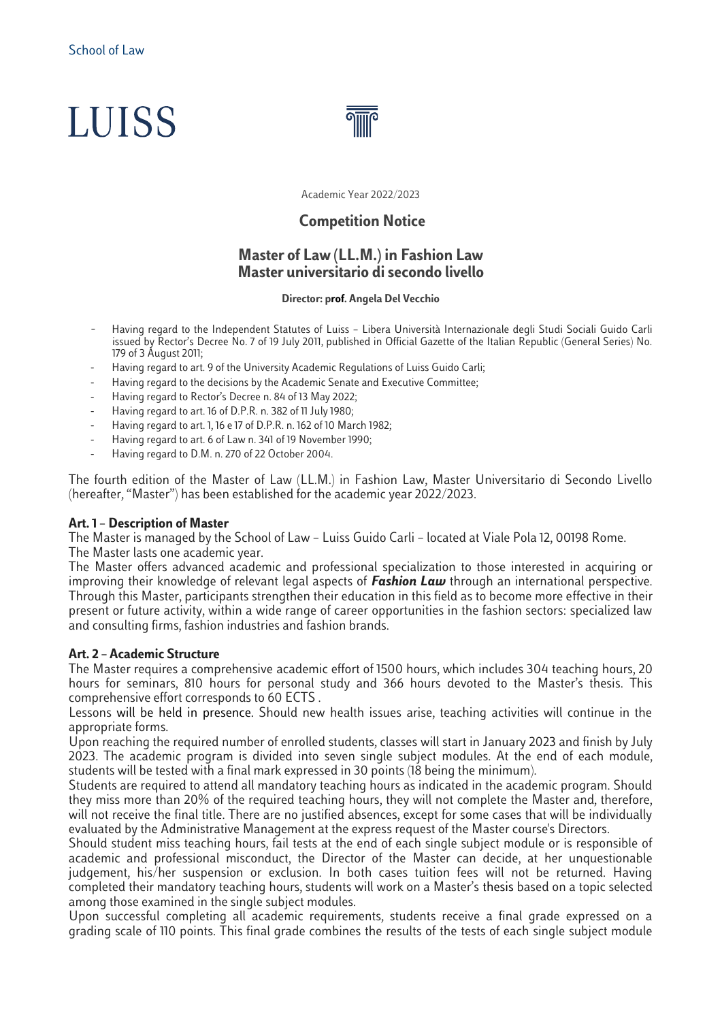# **LUISS**



Academic Year 2022/2023

# **Competition Notice**

# **Master of Law (LL.M.) in Fashion Law Master universitario di secondo livello**

#### **Director: prof. Angela Del Vecchio**

- Having regard to the Independent Statutes of Luiss Libera Università Internazionale degli Studi Sociali Guido Carli issued by Rector's Decree No. 7 of 19 July 2011, published in Official Gazette of the Italian Republic (General Series) No. 179 of 3 August 2011;
- Having regard to art. 9 of the University Academic Regulations of Luiss Guido Carli;
- Having regard to the decisions by the Academic Senate and Executive Committee;
- Having regard to Rector's Decree n. 84 of 13 May 2022;
- Having regard to art. 16 of D.P.R. n. 382 of 11 July 1980;
- Having regard to art. 1, 16 e 17 of D.P.R. n. 162 of 10 March 1982;
- Having regard to art. 6 of Law n. 341 of 19 November 1990;
- Having regard to D.M. n. 270 of 22 October 2004.

The fourth edition of the Master of Law (LL.M.) in Fashion Law, Master Universitario di Secondo Livello (hereafter, "Master") has been established for the academic year 2022/2023.

#### **Art. 1 – Description of Master**

The Master is managed by the School of Law – Luiss Guido Carli – located at Viale Pola 12, 00198 Rome. The Master lasts one academic year.

The Master offers advanced academic and professional specialization to those interested in acquiring or improving their knowledge of relevant legal aspects of *Fashion Law* through an international perspective. Through this Master, participants strengthen their education in this field as to become more effective in their present or future activity, within a wide range of career opportunities in the fashion sectors: specialized law and consulting firms, fashion industries and fashion brands.

#### **Art. 2 – Academic Structure**

The Master requires a comprehensive academic effort of 1500 hours, which includes 304 teaching hours, 20 hours for seminars, 810 hours for personal study and 366 hours devoted to the Master's thesis. This comprehensive effort corresponds to 60 ECTS .

Lessons will be held in presence. Should new health issues arise, teaching activities will continue in the appropriate forms.

Upon reaching the required number of enrolled students, classes will start in January 2023 and finish by July 2023. The academic program is divided into seven single subject modules. At the end of each module, students will be tested with a final mark expressed in 30 points (18 being the minimum).

Students are required to attend all mandatory teaching hours as indicated in the academic program. Should they miss more than 20% of the required teaching hours, they will not complete the Master and, therefore, will not receive the final title. There are no justified absences, except for some cases that will be individually evaluated by the Administrative Management at the express request of the Master course's Directors.

Should student miss teaching hours, fail tests at the end of each single subject module or is responsible of academic and professional misconduct, the Director of the Master can decide, at her unquestionable judgement, his/her suspension or exclusion. In both cases tuition fees will not be returned. Having completed their mandatory teaching hours, students will work on a Master's thesis based on a topic selected among those examined in the single subject modules.

Upon successful completing all academic requirements, students receive a final grade expressed on a grading scale of 110 points. This final grade combines the results of the tests of each single subject module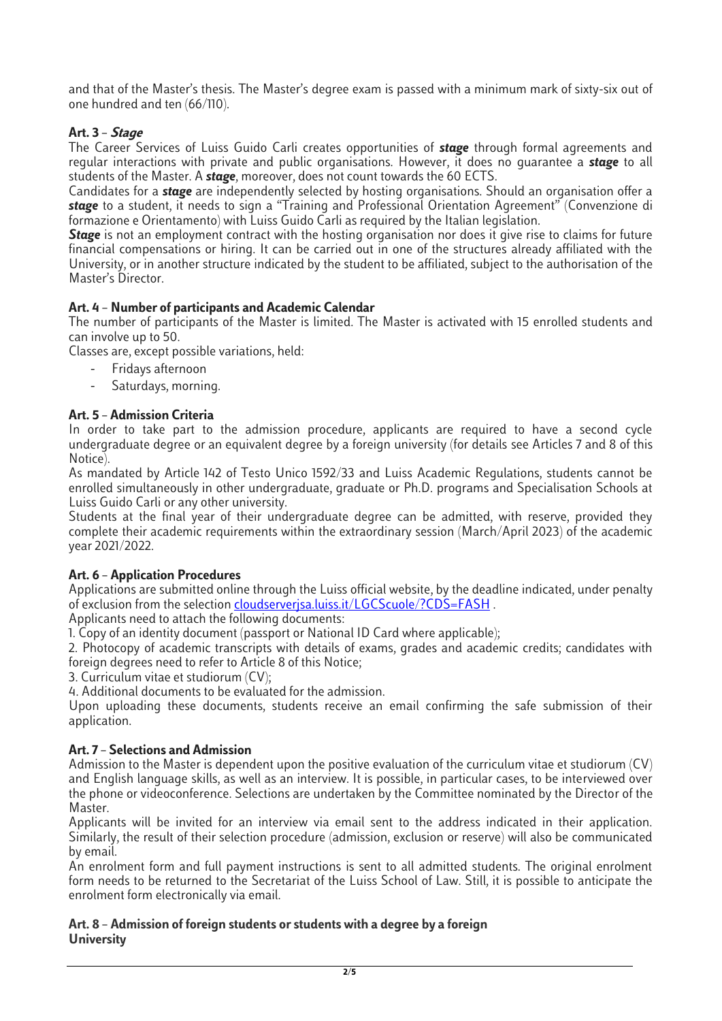and that of the Master's thesis. The Master's degree exam is passed with a minimum mark of sixty-six out of one hundred and ten (66/110).

## **Art. 3 – Stage**

The Career Services of Luiss Guido Carli creates opportunities of *stage* through formal agreements and regular interactions with private and public organisations. However, it does no guarantee a *stage* to all students of the Master. A *stage*, moreover, does not count towards the 60 ECTS.

Candidates for a *stage* are independently selected by hosting organisations. Should an organisation offer a *stage* to a student, it needs to sign a "Training and Professional Orientation Agreement" (Convenzione di formazione e Orientamento) with Luiss Guido Carli as required by the Italian legislation.

**Stage** is not an employment contract with the hosting organisation nor does it give rise to claims for future financial compensations or hiring. It can be carried out in one of the structures already affiliated with the University, or in another structure indicated by the student to be affiliated, subject to the authorisation of the Master's Director.

## **Art. 4 – Number of participants and Academic Calendar**

The number of participants of the Master is limited. The Master is activated with 15 enrolled students and can involve up to 50.

Classes are, except possible variations, held:

- Fridays afternoon
- Saturdays, morning.

## **Art. 5 – Admission Criteria**

In order to take part to the admission procedure, applicants are required to have a second cycle undergraduate degree or an equivalent degree by a foreign university (for details see Articles 7 and 8 of this Notice).

As mandated by Article 142 of Testo Unico 1592/33 and Luiss Academic Regulations, students cannot be enrolled simultaneously in other undergraduate, graduate or Ph.D. programs and Specialisation Schools at Luiss Guido Carli or any other university.

Students at the final year of their undergraduate degree can be admitted, with reserve, provided they complete their academic requirements within the extraordinary session (March/April 2023) of the academic year 2021/2022.

## **Art. 6 – Application Procedures**

Applications are submitted online through the Luiss official website, by the deadline indicated, under penalty of exclusion from the selection [cloudserverjsa.luiss.it/LGCScuole/?CDS=FASH](http://cloudserverjsa.luiss.it/LGCScuole/?CDS=FASH) .

Applicants need to attach the following documents:

1. Copy of an identity document (passport or National ID Card where applicable);

2. Photocopy of academic transcripts with details of exams, grades and academic credits; candidates with foreign degrees need to refer to Article 8 of this Notice;

3. Curriculum vitae et studiorum (CV);

4. Additional documents to be evaluated for the admission.

Upon uploading these documents, students receive an email confirming the safe submission of their application.

#### **Art. 7 – Selections and Admission**

Admission to the Master is dependent upon the positive evaluation of the curriculum vitae et studiorum (CV) and English language skills, as well as an interview. It is possible, in particular cases, to be interviewed over the phone or videoconference. Selections are undertaken by the Committee nominated by the Director of the Master.

Applicants will be invited for an interview via email sent to the address indicated in their application. Similarly, the result of their selection procedure (admission, exclusion or reserve) will also be communicated by email.

An enrolment form and full payment instructions is sent to all admitted students. The original enrolment form needs to be returned to the Secretariat of the Luiss School of Law. Still, it is possible to anticipate the enrolment form electronically via email.

## **Art. 8 – Admission of foreign students or students with a degree by a foreign University**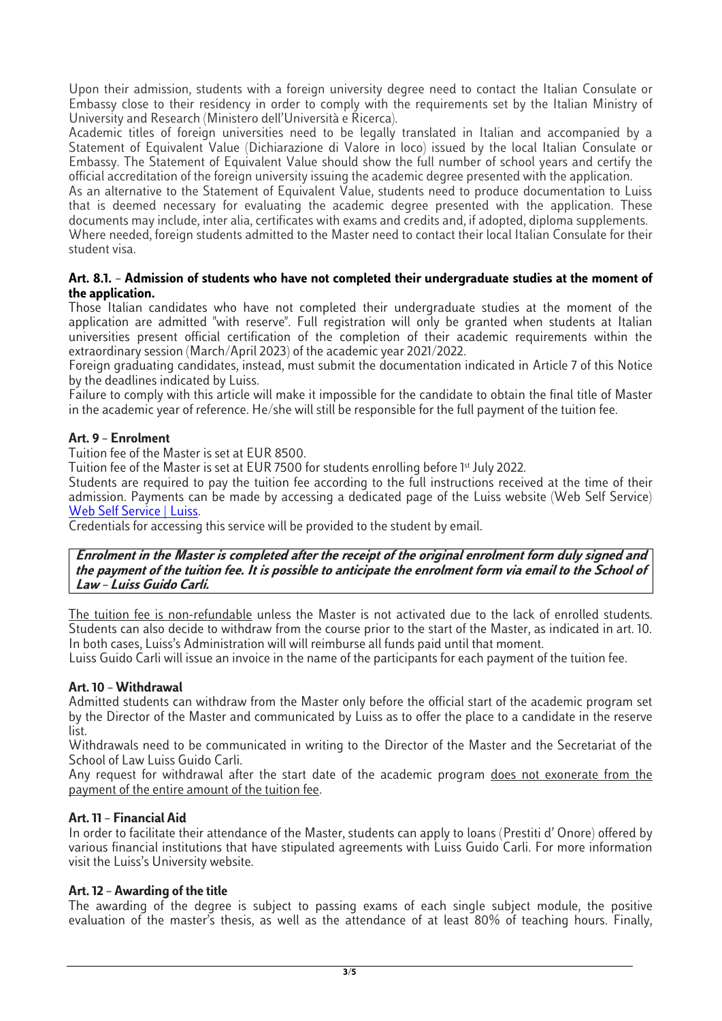Upon their admission, students with a foreign university degree need to contact the Italian Consulate or Embassy close to their residency in order to comply with the requirements set by the Italian Ministry of University and Research (Ministero dell'Università e Ricerca).

Academic titles of foreign universities need to be legally translated in Italian and accompanied by a Statement of Equivalent Value (Dichiarazione di Valore in loco) issued by the local Italian Consulate or Embassy. The Statement of Equivalent Value should show the full number of school years and certify the official accreditation of the foreign university issuing the academic degree presented with the application.

As an alternative to the Statement of Equivalent Value, students need to produce documentation to Luiss that is deemed necessary for evaluating the academic degree presented with the application. These documents may include, inter alia, certificates with exams and credits and, if adopted, diploma supplements.

Where needed, foreign students admitted to the Master need to contact their local Italian Consulate for their student visa.

## **Art. 8.1. – Admission of students who have not completed their undergraduate studies at the moment of the application.**

Those Italian candidates who have not completed their undergraduate studies at the moment of the application are admitted "with reserve". Full registration will only be granted when students at Italian universities present official certification of the completion of their academic requirements within the extraordinary session (March/April 2023) of the academic year 2021/2022.

Foreign graduating candidates, instead, must submit the documentation indicated in Article 7 of this Notice by the deadlines indicated by Luiss.

Failure to comply with this article will make it impossible for the candidate to obtain the final title of Master in the academic year of reference. He/she will still be responsible for the full payment of the tuition fee.

## **Art. 9 – Enrolment**

Tuition fee of the Master is set at EUR 8500.

Tuition fee of the Master is set at EUR 7500 for students enrolling before 1st July 2022.

Students are required to pay the tuition fee according to the full instructions received at the time of their admission. Payments can be made by accessing a dedicated page of the Luiss website (Web Self Service) [Web Self Service | Luiss.](https://www.luiss.it/servizi-agli-studenti/web-self-service)

Credentials for accessing this service will be provided to the student by email.

**Enrolment in the Master is completed after the receipt of the original enrolment form duly signed and the payment of the tuition fee. It is possible to anticipate the enrolment form via email to the School of Law – Luiss Guido Carli.**

The tuition fee is non-refundable unless the Master is not activated due to the lack of enrolled students. Students can also decide to withdraw from the course prior to the start of the Master, as indicated in art. 10. In both cases, Luiss's Administration will will reimburse all funds paid until that moment.

Luiss Guido Carli will issue an invoice in the name of the participants for each payment of the tuition fee.

## **Art. 10 – Withdrawal**

Admitted students can withdraw from the Master only before the official start of the academic program set by the Director of the Master and communicated by Luiss as to offer the place to a candidate in the reserve list.

Withdrawals need to be communicated in writing to the Director of the Master and the Secretariat of the School of Law Luiss Guido Carli.

Any request for withdrawal after the start date of the academic program does not exonerate from the payment of the entire amount of the tuition fee.

## **Art. 11 – Financial Aid**

In order to facilitate their attendance of the Master, students can apply to loans (Prestiti d' Onore) offered by various financial institutions that have stipulated agreements with Luiss Guido Carli. For more information visit the Luiss's University website.

## **Art. 12 – Awarding of the title**

The awarding of the degree is subject to passing exams of each single subject module, the positive evaluation of the master's thesis, as well as the attendance of at least 80% of teaching hours. Finally,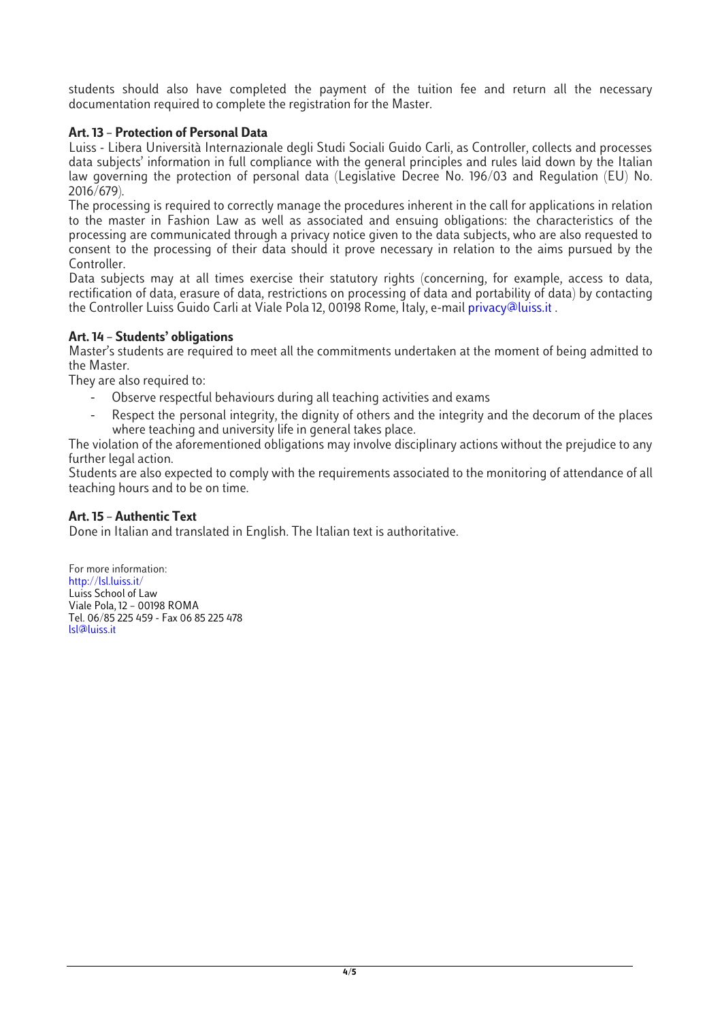students should also have completed the payment of the tuition fee and return all the necessary documentation required to complete the registration for the Master.

## **Art. 13 – Protection of Personal Data**

Luiss - Libera Università Internazionale degli Studi Sociali Guido Carli, as Controller, collects and processes data subjects' information in full compliance with the general principles and rules laid down by the Italian law governing the protection of personal data (Legislative Decree No. 196/03 and Regulation (EU) No. 2016/679).

The processing is required to correctly manage the procedures inherent in the call for applications in relation to the master in Fashion Law as well as associated and ensuing obligations: the characteristics of the processing are communicated through a privacy notice given to the data subjects, who are also requested to consent to the processing of their data should it prove necessary in relation to the aims pursued by the Controller.

Data subjects may at all times exercise their statutory rights (concerning, for example, access to data, rectification of data, erasure of data, restrictions on processing of data and portability of data) by contacting the Controller Luiss Guido Carli at Viale Pola 12, 00198 Rome, Italy, e-mail privacy@luiss.it .

## **Art. 14 – Students' obligations**

Master's students are required to meet all the commitments undertaken at the moment of being admitted to the Master.

They are also required to:

- Observe respectful behaviours during all teaching activities and exams
- Respect the personal integrity, the dignity of others and the integrity and the decorum of the places where teaching and university life in general takes place.

The violation of the aforementioned obligations may involve disciplinary actions without the prejudice to any further legal action.

Students are also expected to comply with the requirements associated to the monitoring of attendance of all teaching hours and to be on time.

## **Art. 15 – Authentic Text**

Done in Italian and translated in English. The Italian text is authoritative.

For more information: http://lsl.luiss.it/ Luiss School of Law Viale Pola, 12 – 00198 ROMA Tel. 06/85 225 459 - Fax 06 85 225 478 lsl@luiss.it